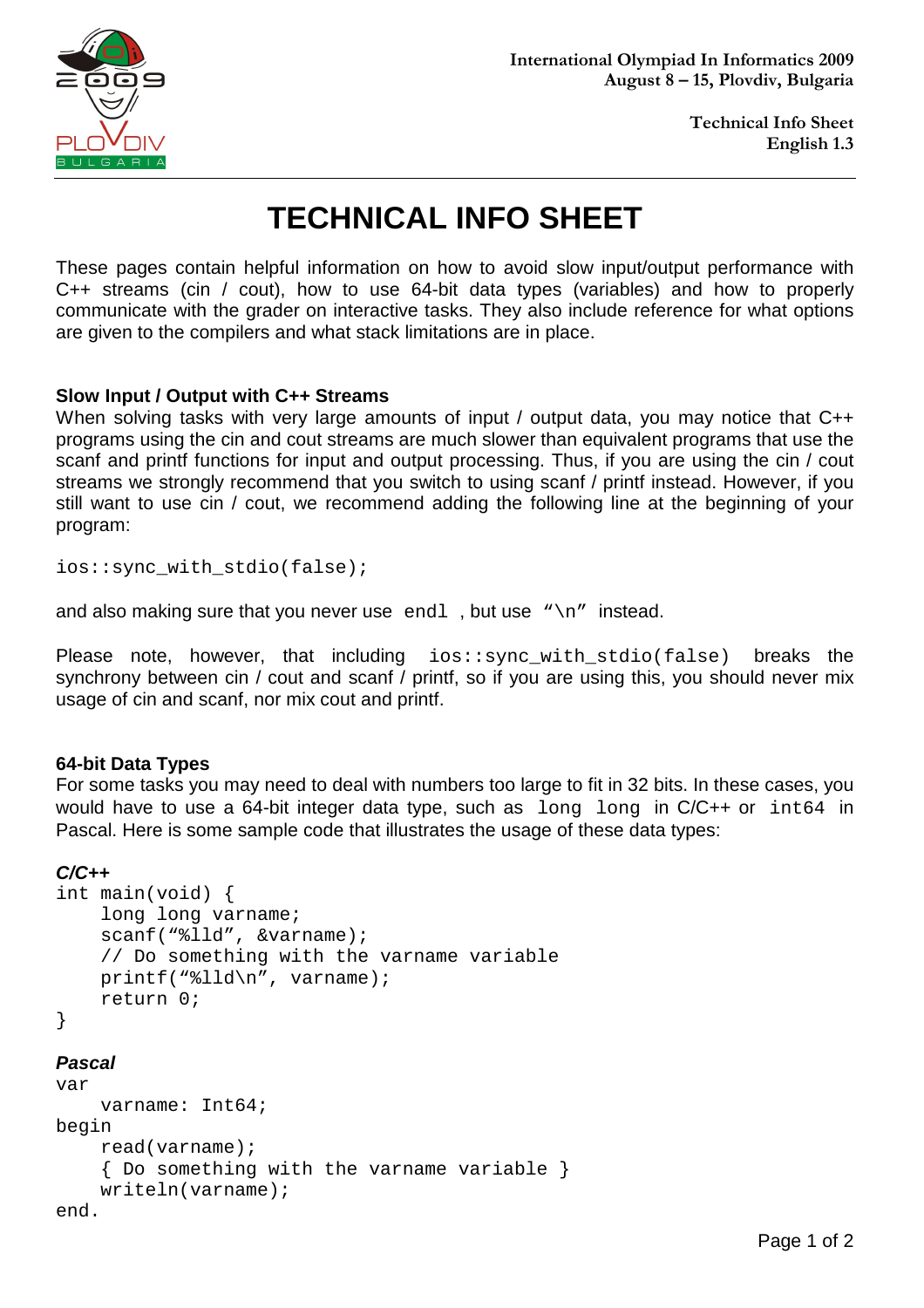

**Technical Info Sheet English 1.3**

# **TECHNICAL INFO SHEET**

These pages contain helpful information on how to avoid slow input/output performance with C++ streams (cin / cout), how to use 64-bit data types (variables) and how to properly communicate with the grader on interactive tasks. They also include reference for what options are given to the compilers and what stack limitations are in place.

#### **Slow Input / Output with C++ Streams**

When solving tasks with very large amounts of input / output data, you may notice that C++ programs using the cin and cout streams are much slower than equivalent programs that use the scanf and printf functions for input and output processing. Thus, if you are using the cin / cout streams we strongly recommend that you switch to using scanf / printf instead. However, if you still want to use cin / cout, we recommend adding the following line at the beginning of your program:

ios::sync\_with\_stdio(false);

and also making sure that you never use endl, but use " $\n\cdot$ n" instead.

Please note, however, that including ios::sync\_with\_stdio(false) breaks the synchrony between cin / cout and scanf / printf, so if you are using this, you should never mix usage of cin and scanf, nor mix cout and printf.

#### **64-bit Data Types**

For some tasks you may need to deal with numbers too large to fit in 32 bits. In these cases, you would have to use a 64-bit integer data type, such as long long in C/C++ or int64 in Pascal. Here is some sample code that illustrates the usage of these data types:

#### **C/C++**

```
int main(void) { 
     long long varname; 
     scanf("%lld", &varname); 
     // Do something with the varname variable 
     printf("%lld\n", varname); 
     return 0; 
}
```
#### **Pascal**

```
var 
     varname: Int64; 
begin 
     read(varname); 
     { Do something with the varname variable } 
     writeln(varname); 
end.
```